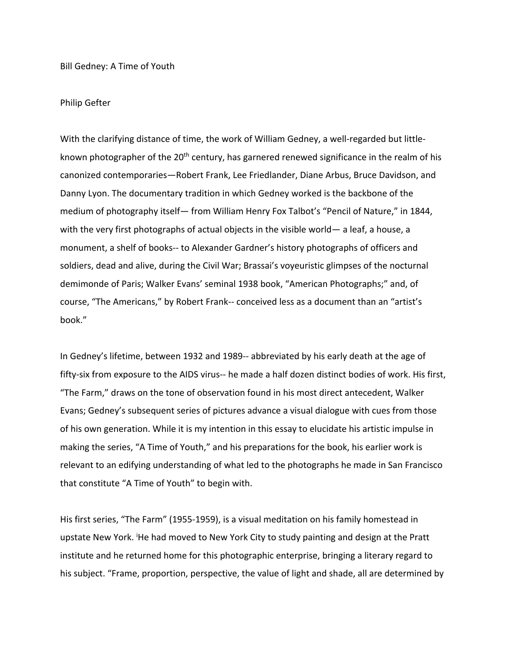Bill Gedney: A Time of Youth

## Philip Gefter

With the clarifying distance of time, the work of William Gedney, a well-regarded but littleknown photographer of the  $20<sup>th</sup>$  century, has garnered renewed significance in the realm of his canonized contemporaries—Robert Frank, Lee Friedlander, Diane Arbus, Bruce Davidson, and Danny Lyon. The documentary tradition in which Gedney worked is the backbone of the medium of photography itself— from William Henry Fox Talbot's "Pencil of Nature," in 1844, with the very first photographs of actual objects in the visible world— a leaf, a house, a monument, a shelf of books-- to Alexander Gardner's history photographs of officers and soldiers, dead and alive, during the Civil War; Brassai's voyeuristic glimpses of the nocturnal demimonde of Paris; Walker Evans' seminal 1938 book, "American Photographs;" and, of course, "The Americans," by Robert Frank-- conceived less as a document than an "artist's book."

In Gedney's lifetime, between 1932 and 1989-- abbreviated by his early death at the age of fifty-six from exposure to the AIDS virus-- he made a half dozen distinct bodies of work. His first, "The Farm," draws on the tone of observation found in his most direct antecedent, Walker Evans; Gedney's subsequent series of pictures advance a visual dialogue with cues from those of his own generation. While it is my intention in this essay to elucidate his artistic impulse in making the series, "A Time of Youth," and his preparations for the book, his earlier work is relevant to an edifying understanding of what led to the photographs he made in San Francisco that constitute "A Time of Youth" to begin with.

His first series, "The Farm" (1955-1959), is a visual meditation on his family homestead in upstate New York. <sup>i</sup>He had moved to New York City to study painting and design at the Pratt institute and he returned home for this photographic enterprise, bringing a literary regard to his subject. "Frame, proportion, perspective, the value of light and shade, all are determined by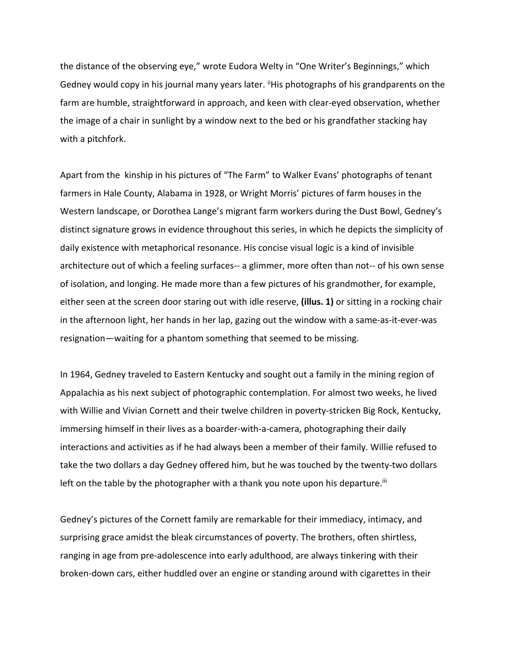the distance of the observing eye," wrote Eudora Welty in "One Writer's Beginnings," which Gedney would copy in his journal many years later. "His photographs of his grandparents on the farm are humble, straightforward in approach, and keen with clear-eyed observation, whether the image of a chair in sunlight by a window next to the bed or his grandfather stacking hay with a pitchfork.

Apart from the kinship in his pictures of "The Farm" to Walker Evans' photographs of tenant farmers in Hale County, Alabama in 1928, or Wright Morris' pictures of farm houses in the Western landscape, or Dorothea Lange's migrant farm workers during the Dust Bowl, Gedney's distinct signature grows in evidence throughout this series, in which he depicts the simplicity of daily existence with metaphorical resonance. His concise visual logic is a kind of invisible architecture out of which a feeling surfaces-- a glimmer, more often than not-- of his own sense of isolation, and longing. He made more than a few pictures of his grandmother, for example, either seen at the screen door staring out with idle reserve, **(illus. 1)** or sitting in a rocking chair in the afternoon light, her hands in her lap, gazing out the window with a same-as-it-ever-was resignation—waiting for a phantom something that seemed to be missing.

In 1964, Gedney traveled to Eastern Kentucky and sought out a family in the mining region of Appalachia as his next subject of photographic contemplation. For almost two weeks, he lived with Willie and Vivian Cornett and their twelve children in poverty-stricken Big Rock, Kentucky, immersing himself in their lives as a boarder-with-a-camera, photographing their daily interactions and activities as if he had always been a member of their family. Willie refused to take the two dollars a day Gedney offered him, but he was touched by the twenty-two dollars left on the table by the photographer with a thank you note upon his departure.<sup>iii</sup>

Gedney's pictures of the Cornett family are remarkable for their immediacy, intimacy, and surprising grace amidst the bleak circumstances of poverty. The brothers, often shirtless, ranging in age from pre-adolescence into early adulthood, are always tinkering with their broken-down cars, either huddled over an engine or standing around with cigarettes in their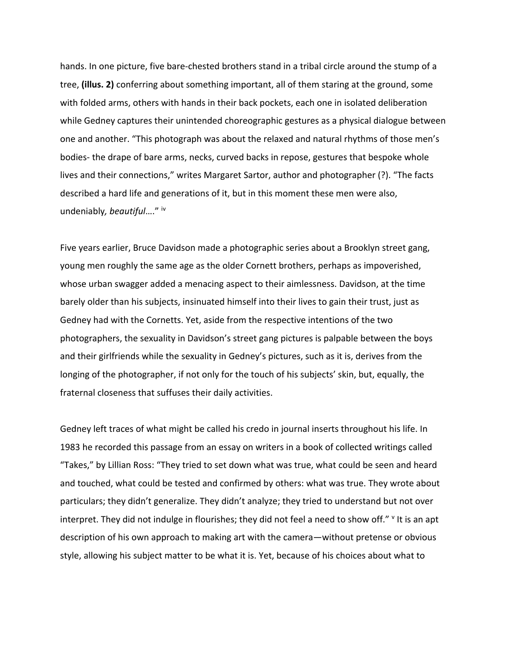hands. In one picture, five bare-chested brothers stand in a tribal circle around the stump of a tree, **(illus. 2)** conferring about something important, all of them staring at the ground, some with folded arms, others with hands in their back pockets, each one in isolated deliberation while Gedney captures their unintended choreographic gestures as a physical dialogue between one and another. "This photograph was about the relaxed and natural rhythms of those men's bodies- the drape of bare arms, necks, curved backs in repose, gestures that bespoke whole lives and their connections," writes Margaret Sartor, author and photographer (?). "The facts described a hard life and generations of it, but in this moment these men were also, undeniably*, beautiful*…." iv

Five years earlier, Bruce Davidson made a photographic series about a Brooklyn street gang, young men roughly the same age as the older Cornett brothers, perhaps as impoverished, whose urban swagger added a menacing aspect to their aimlessness. Davidson, at the time barely older than his subjects, insinuated himself into their lives to gain their trust, just as Gedney had with the Cornetts. Yet, aside from the respective intentions of the two photographers, the sexuality in Davidson's street gang pictures is palpable between the boys and their girlfriends while the sexuality in Gedney's pictures, such as it is, derives from the longing of the photographer, if not only for the touch of his subjects' skin, but, equally, the fraternal closeness that suffuses their daily activities.

Gedney left traces of what might be called his credo in journal inserts throughout his life. In 1983 he recorded this passage from an essay on writers in a book of collected writings called "Takes," by Lillian Ross: "They tried to set down what was true, what could be seen and heard and touched, what could be tested and confirmed by others: what was true. They wrote about particulars; they didn't generalize. They didn't analyze; they tried to understand but not over interpret. They did not indulge in flourishes; they did not feel a need to show off."  $\vee$  It is an apt description of his own approach to making art with the camera—without pretense or obvious style, allowing his subject matter to be what it is. Yet, because of his choices about what to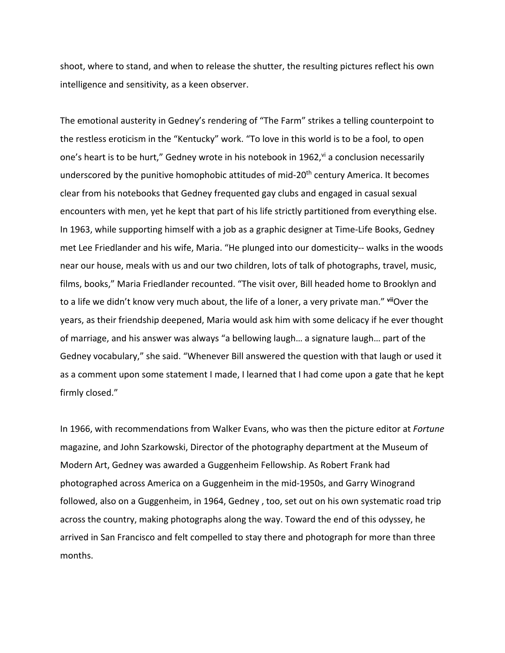shoot, where to stand, and when to release the shutter, the resulting pictures reflect his own intelligence and sensitivity, as a keen observer.

The emotional austerity in Gedney's rendering of "The Farm" strikes a telling counterpoint to the restless eroticism in the "Kentucky" work. "To love in this world is to be a fool, to open one's heart is to be hurt," Gedney wrote in his notebook in 1962, $\overline{v}$  a conclusion necessarily underscored by the punitive homophobic attitudes of mid-20<sup>th</sup> century America. It becomes clear from his notebooks that Gedney frequented gay clubs and engaged in casual sexual encounters with men, yet he kept that part of his life strictly partitioned from everything else. In 1963, while supporting himself with a job as a graphic designer at Time-Life Books, Gedney met Lee Friedlander and his wife, Maria. "He plunged into our domesticity-- walks in the woods near our house, meals with us and our two children, lots of talk of photographs, travel, music, films, books," Maria Friedlander recounted. "The visit over, Bill headed home to Brooklyn and to a life we didn't know very much about, the life of a loner, a very private man." **vii**Over the years, as their friendship deepened, Maria would ask him with some delicacy if he ever thought of marriage, and his answer was always "a bellowing laugh… a signature laugh… part of the Gedney vocabulary," she said. "Whenever Bill answered the question with that laugh or used it as a comment upon some statement I made, I learned that I had come upon a gate that he kept firmly closed."

In 1966, with recommendations from Walker Evans, who was then the picture editor at *Fortune*  magazine, and John Szarkowski, Director of the photography department at the Museum of Modern Art, Gedney was awarded a Guggenheim Fellowship. As Robert Frank had photographed across America on a Guggenheim in the mid-1950s, and Garry Winogrand followed, also on a Guggenheim, in 1964, Gedney , too, set out on his own systematic road trip across the country, making photographs along the way. Toward the end of this odyssey, he arrived in San Francisco and felt compelled to stay there and photograph for more than three months.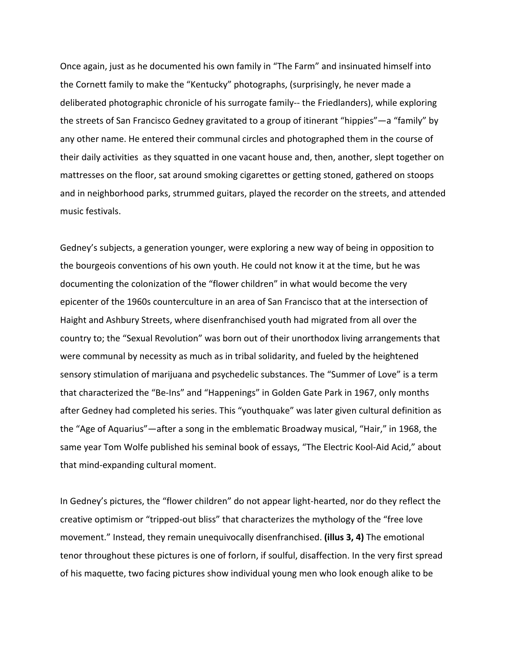Once again, just as he documented his own family in "The Farm" and insinuated himself into the Cornett family to make the "Kentucky" photographs, (surprisingly, he never made a deliberated photographic chronicle of his surrogate family-- the Friedlanders), while exploring the streets of San Francisco Gedney gravitated to a group of itinerant "hippies"—a "family" by any other name. He entered their communal circles and photographed them in the course of their daily activities as they squatted in one vacant house and, then, another, slept together on mattresses on the floor, sat around smoking cigarettes or getting stoned, gathered on stoops and in neighborhood parks, strummed guitars, played the recorder on the streets, and attended music festivals.

Gedney's subjects, a generation younger, were exploring a new way of being in opposition to the bourgeois conventions of his own youth. He could not know it at the time, but he was documenting the colonization of the "flower children" in what would become the very epicenter of the 1960s counterculture in an area of San Francisco that at the intersection of Haight and Ashbury Streets, where disenfranchised youth had migrated from all over the country to; the "Sexual Revolution" was born out of their unorthodox living arrangements that were communal by necessity as much as in tribal solidarity, and fueled by the heightened sensory stimulation of marijuana and psychedelic substances. The "Summer of Love" is a term that characterized the "Be-Ins" and "Happenings" in Golden Gate Park in 1967, only months after Gedney had completed his series. This "youthquake" was later given cultural definition as the "Age of Aquarius"—after a song in the emblematic Broadway musical, "Hair," in 1968, the same year Tom Wolfe published his seminal book of essays, "The Electric Kool-Aid Acid," about that mind-expanding cultural moment.

In Gedney's pictures, the "flower children" do not appear light-hearted, nor do they reflect the creative optimism or "tripped-out bliss" that characterizes the mythology of the "free love movement." Instead, they remain unequivocally disenfranchised. **(illus 3, 4)** The emotional tenor throughout these pictures is one of forlorn, if soulful, disaffection. In the very first spread of his maquette, two facing pictures show individual young men who look enough alike to be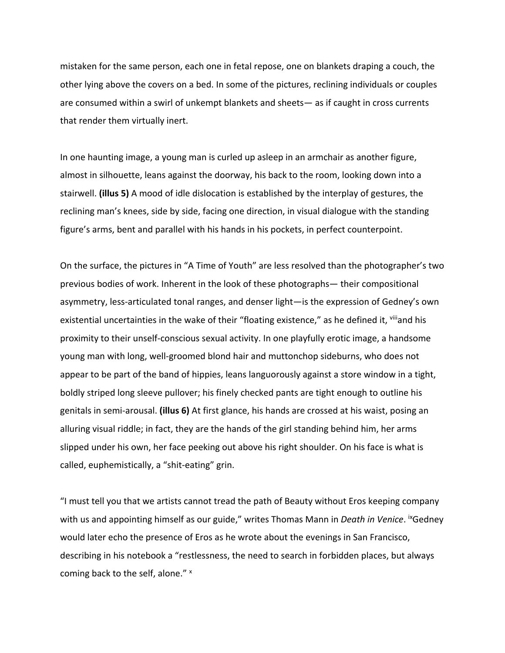mistaken for the same person, each one in fetal repose, one on blankets draping a couch, the other lying above the covers on a bed. In some of the pictures, reclining individuals or couples are consumed within a swirl of unkempt blankets and sheets— as if caught in cross currents that render them virtually inert.

In one haunting image, a young man is curled up asleep in an armchair as another figure, almost in silhouette, leans against the doorway, his back to the room, looking down into a stairwell. **(illus 5)** A mood of idle dislocation is established by the interplay of gestures, the reclining man's knees, side by side, facing one direction, in visual dialogue with the standing figure's arms, bent and parallel with his hands in his pockets, in perfect counterpoint.

On the surface, the pictures in "A Time of Youth" are less resolved than the photographer's two previous bodies of work. Inherent in the look of these photographs— their compositional asymmetry, less-articulated tonal ranges, and denser light—is the expression of Gedney's own existential uncertainties in the wake of their "floating existence," as he defined it, villiand his proximity to their unself-conscious sexual activity. In one playfully erotic image, a handsome young man with long, well-groomed blond hair and muttonchop sideburns, who does not appear to be part of the band of hippies, leans languorously against a store window in a tight, boldly striped long sleeve pullover; his finely checked pants are tight enough to outline his genitals in semi-arousal. **(illus 6)** At first glance, his hands are crossed at his waist, posing an alluring visual riddle; in fact, they are the hands of the girl standing behind him, her arms slipped under his own, her face peeking out above his right shoulder. On his face is what is called, euphemistically, a "shit-eating" grin.

"I must tell you that we artists cannot tread the path of Beauty without Eros keeping company with us and appointing himself as our guide," writes Thomas Mann in *Death in Venice*. <sup>ix</sup>Gedney would later echo the presence of Eros as he wrote about the evenings in San Francisco, describing in his notebook a "restlessness, the need to search in forbidden places, but always coming back to the self, alone." x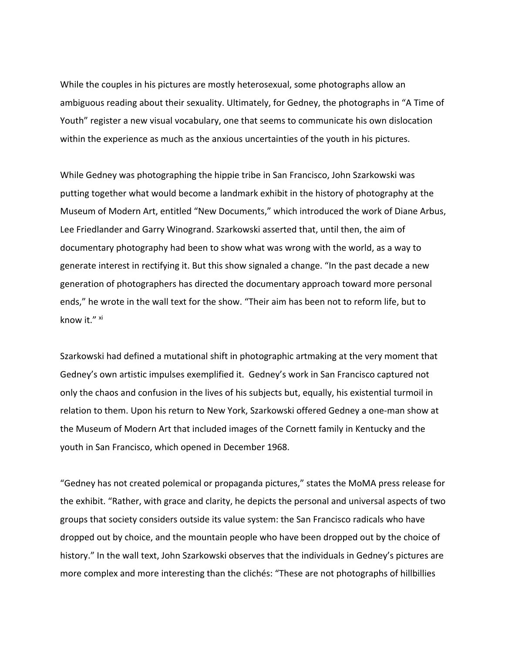While the couples in his pictures are mostly heterosexual, some photographs allow an ambiguous reading about their sexuality. Ultimately, for Gedney, the photographs in "A Time of Youth" register a new visual vocabulary, one that seems to communicate his own dislocation within the experience as much as the anxious uncertainties of the youth in his pictures.

While Gedney was photographing the hippie tribe in San Francisco, John Szarkowski was putting together what would become a landmark exhibit in the history of photography at the Museum of Modern Art, entitled "New Documents," which introduced the work of Diane Arbus, Lee Friedlander and Garry Winogrand. Szarkowski asserted that, until then, the aim of documentary photography had been to show what was wrong with the world, as a way to generate interest in rectifying it. But this show signaled a change. "In the past decade a new generation of photographers has directed the documentary approach toward more personal ends," he wrote in the wall text for the show. "Their aim has been not to reform life, but to know it." xi

Szarkowski had defined a mutational shift in photographic artmaking at the very moment that Gedney's own artistic impulses exemplified it. Gedney's work in San Francisco captured not only the chaos and confusion in the lives of his subjects but, equally, his existential turmoil in relation to them. Upon his return to New York, Szarkowski offered Gedney a one-man show at the Museum of Modern Art that included images of the Cornett family in Kentucky and the youth in San Francisco, which opened in December 1968.

"Gedney has not created polemical or propaganda pictures," states the MoMA press release for the exhibit. "Rather, with grace and clarity, he depicts the personal and universal aspects of two groups that society considers outside its value system: the San Francisco radicals who have dropped out by choice, and the mountain people who have been dropped out by the choice of history." In the wall text, John Szarkowski observes that the individuals in Gedney's pictures are more complex and more interesting than the clichés: "These are not photographs of hillbillies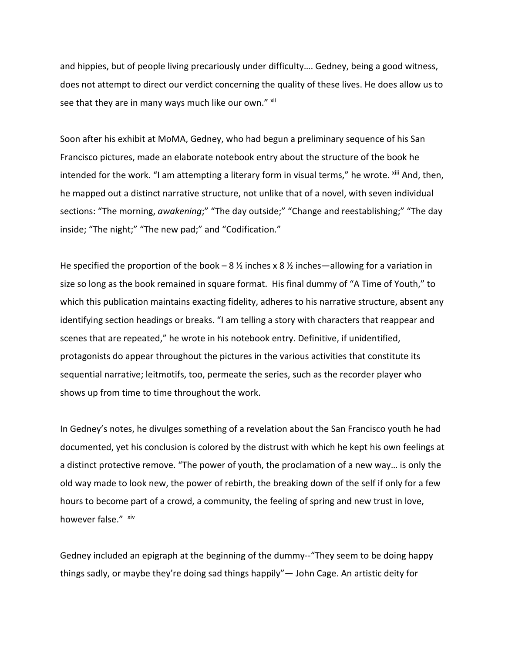and hippies, but of people living precariously under difficulty…. Gedney, being a good witness, does not attempt to direct our verdict concerning the quality of these lives. He does allow us to see that they are in many ways much like our own." xii

Soon after his exhibit at MoMA, Gedney, who had begun a preliminary sequence of his San Francisco pictures, made an elaborate notebook entry about the structure of the book he intended for the work. "I am attempting a literary form in visual terms," he wrote. <sup>xiii</sup> And, then, he mapped out a distinct narrative structure, not unlike that of a novel, with seven individual sections: "The morning, *awakening*;" "The day outside;" "Change and reestablishing;" "The day inside; "The night;" "The new pad;" and "Codification."

He specified the proportion of the book – 8  $\frac{1}{2}$  inches x 8  $\frac{1}{2}$  inches—allowing for a variation in size so long as the book remained in square format. His final dummy of "A Time of Youth," to which this publication maintains exacting fidelity, adheres to his narrative structure, absent any identifying section headings or breaks. "I am telling a story with characters that reappear and scenes that are repeated," he wrote in his notebook entry. Definitive, if unidentified, protagonists do appear throughout the pictures in the various activities that constitute its sequential narrative; leitmotifs, too, permeate the series, such as the recorder player who shows up from time to time throughout the work.

In Gedney's notes, he divulges something of a revelation about the San Francisco youth he had documented, yet his conclusion is colored by the distrust with which he kept his own feelings at a distinct protective remove. "The power of youth, the proclamation of a new way… is only the old way made to look new, the power of rebirth, the breaking down of the self if only for a few hours to become part of a crowd, a community, the feeling of spring and new trust in love, however false." xiv

Gedney included an epigraph at the beginning of the dummy--"They seem to be doing happy things sadly, or maybe they're doing sad things happily"— John Cage. An artistic deity for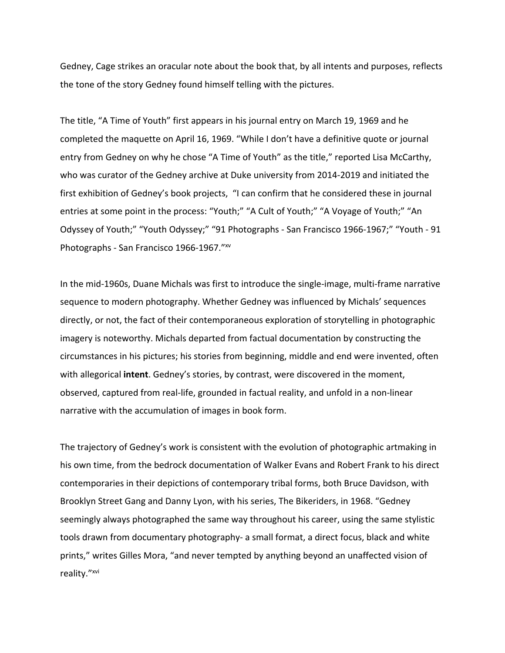Gedney, Cage strikes an oracular note about the book that, by all intents and purposes, reflects the tone of the story Gedney found himself telling with the pictures.

The title, "A Time of Youth" first appears in his journal entry on March 19, 1969 and he completed the maquette on April 16, 1969. "While I don't have a definitive quote or journal entry from Gedney on why he chose "A Time of Youth" as the title," reported Lisa McCarthy, who was curator of the Gedney archive at Duke university from 2014-2019 and initiated the first exhibition of Gedney's book projects, "I can confirm that he considered these in journal entries at some point in the process: "Youth;" "A Cult of Youth;" "A Voyage of Youth;" "An Odyssey of Youth;" "Youth Odyssey;" "91 Photographs - San Francisco 1966-1967;" "Youth - 91 Photographs - San Francisco 1966-1967."xv

In the mid-1960s, Duane Michals was first to introduce the single-image, multi-frame narrative sequence to modern photography. Whether Gedney was influenced by Michals' sequences directly, or not, the fact of their contemporaneous exploration of storytelling in photographic imagery is noteworthy. Michals departed from factual documentation by constructing the circumstances in his pictures; his stories from beginning, middle and end were invented, often with allegorical **intent**. Gedney's stories, by contrast, were discovered in the moment, observed, captured from real-life, grounded in factual reality, and unfold in a non-linear narrative with the accumulation of images in book form.

The trajectory of Gedney's work is consistent with the evolution of photographic artmaking in his own time, from the bedrock documentation of Walker Evans and Robert Frank to his direct contemporaries in their depictions of contemporary tribal forms, both Bruce Davidson, with Brooklyn Street Gang and Danny Lyon, with his series, The Bikeriders, in 1968. "Gedney seemingly always photographed the same way throughout his career, using the same stylistic tools drawn from documentary photography- a small format, a direct focus, black and white prints," writes Gilles Mora, "and never tempted by anything beyond an unaffected vision of reality."xvi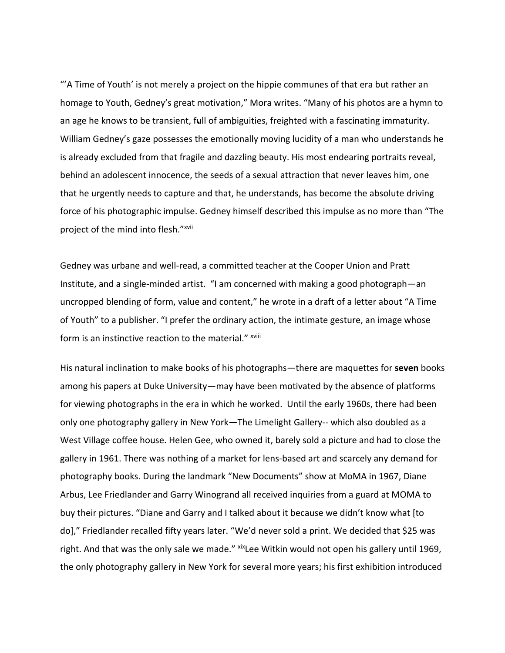"'A Time of Youth' is not merely a project on the hippie communes of that era but rather an homage to Youth, Gedney's great motivation," Mora writes. "Many of his photos are a hymn to an age he knows to be transient, full of ambiguities, freighted with a fascinating immaturity. William Gedney's gaze possesses the emotionally moving lucidity of a man who understands he is already excluded from that fragile and dazzling beauty. His most endearing portraits reveal, behind an adolescent innocence, the seeds of a sexual attraction that never leaves him, one that he urgently needs to capture and that, he understands, has become the absolute driving force of his photographic impulse. Gedney himself described this impulse as no more than "The project of the mind into flesh."xvii

Gedney was urbane and well-read, a committed teacher at the Cooper Union and Pratt Institute, and a single-minded artist. "I am concerned with making a good photograph—an uncropped blending of form, value and content," he wrote in a draft of a letter about "A Time of Youth" to a publisher. "I prefer the ordinary action, the intimate gesture, an image whose form is an instinctive reaction to the material." xviii

His natural inclination to make books of his photographs—there are maquettes for **seven** books among his papers at Duke University—may have been motivated by the absence of platforms for viewing photographs in the era in which he worked. Until the early 1960s, there had been only one photography gallery in New York—The Limelight Gallery-- which also doubled as a West Village coffee house. Helen Gee, who owned it, barely sold a picture and had to close the gallery in 1961. There was nothing of a market for lens-based art and scarcely any demand for photography books. During the landmark "New Documents" show at MoMA in 1967, Diane Arbus, Lee Friedlander and Garry Winogrand all received inquiries from a guard at MOMA to buy their pictures. "Diane and Garry and I talked about it because we didn't know what [to do]," Friedlander recalled fifty years later. "We'd never sold a print. We decided that \$25 was right. And that was the only sale we made." xixLee Witkin would not open his gallery until 1969, the only photography gallery in New York for several more years; his first exhibition introduced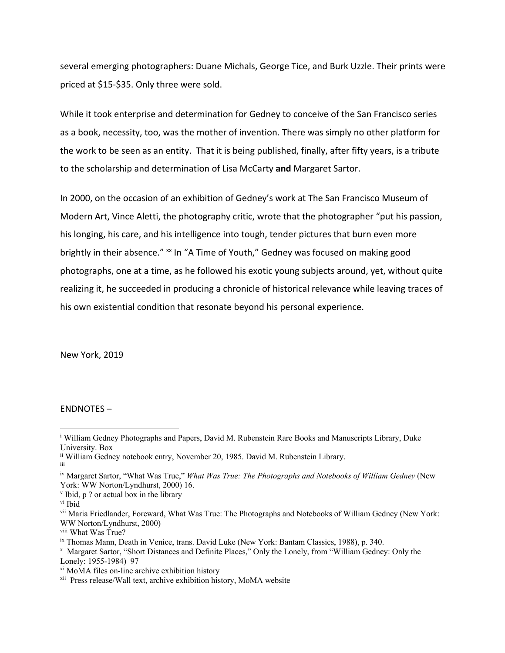several emerging photographers: Duane Michals, George Tice, and Burk Uzzle. Their prints were priced at \$15-\$35. Only three were sold.

While it took enterprise and determination for Gedney to conceive of the San Francisco series as a book, necessity, too, was the mother of invention. There was simply no other platform for the work to be seen as an entity. That it is being published, finally, after fifty years, is a tribute to the scholarship and determination of Lisa McCarty **and** Margaret Sartor.

In 2000, on the occasion of an exhibition of Gedney's work at The San Francisco Museum of Modern Art, Vince Aletti, the photography critic, wrote that the photographer "put his passion, his longing, his care, and his intelligence into tough, tender pictures that burn even more brightly in their absence." xx In "A Time of Youth," Gedney was focused on making good photographs, one at a time, as he followed his exotic young subjects around, yet, without quite realizing it, he succeeded in producing a chronicle of historical relevance while leaving traces of his own existential condition that resonate beyond his personal experience.

New York, 2019

ENDNOTES –

iii

<sup>i</sup> William Gedney Photographs and Papers, David M. Rubenstein Rare Books and Manuscripts Library, Duke University. Box

ii William Gedney notebook entry, November 20, 1985. David M. Rubenstein Library.

iv Margaret Sartor, "What Was True," *What Was True: The Photographs and Notebooks of William Gedney* (New York: WW Norton/Lyndhurst, 2000) 16.

 $v$  Ibid, p ? or actual box in the library

vi Ibid

vii Maria Friedlander, Foreward, What Was True: The Photographs and Notebooks of William Gedney (New York: WW Norton/Lyndhurst, 2000)

viii What Was True?

ix Thomas Mann, Death in Venice, trans. David Luke (New York: Bantam Classics, 1988), p. 340.

x Margaret Sartor, "Short Distances and Definite Places," Only the Lonely, from "William Gedney: Only the Lonely: 1955-1984) 97<br><sup>xi</sup> MoMA files on-line archive exhibition history

xii Press release/Wall text, archive exhibition history, MoMA website